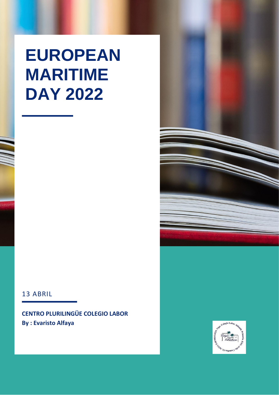# **EUROPEAN MARITIME DAY 2022**

#### 13 ABRIL

**CENTRO PLURILINGÜE COLEGIO LABOR By: Evaristo Alfaya** 



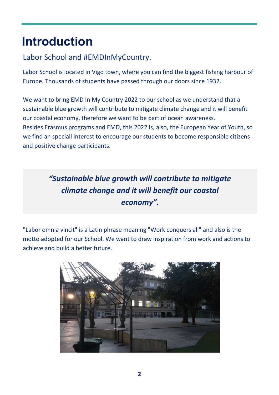# **Introduction**

# Labor School and #EMDInMyCountry.

Labor School is located in Vigo town, where you can find the biggest fishing harbour of Europe. Thousands of students have passed through our doors since 1932.

We want to bring EMD In My Country 2022 to our school as we understand that a sustainable blue growth will contribute to mitigate climate change and it will benefit our coastal economy, therefore we want to be part of ocean awareness. Besides Erasmus programs and EMD, this 2022 is, also, the European Year of Youth, so we find an speciall interest to encourage our students to become responsible citizens and positive change participants.

# *"Sustainable blue growth will contribute to mitigate climate change and it will benefit our coastal economy".*

"Labor omnia vincit" is a Latin phrase meaning "Work conquers all" and also is the motto adopted for our School. We want to draw inspiration from work and actions to achieve and build a better future.

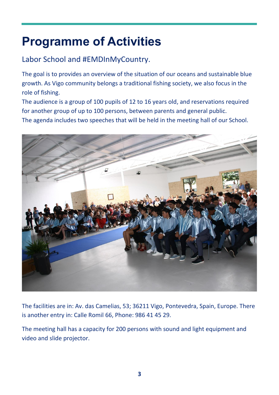# **Programme of Activities**

# Labor School and #EMDInMyCountry.

The goal is to provides an overview of the situation of our oceans and sustainable blue growth. As Vigo community belongs a traditional fishing society, we also focus in the role of fishing.

The audience is a group of 100 pupils of 12 to 16 years old, and reservations required for another group of up to 100 persons, between parents and general public. The agenda includes two speeches that will be held in the meeting hall of our School.



The facilities are in: Av. das Camelias, 53; 36211 Vigo, Pontevedra, Spain, Europe. There is another entry in: Calle Romil 66, Phone: 986 41 45 29.

The meeting hall has a capacity for 200 persons with sound and light equipment and video and slide projector.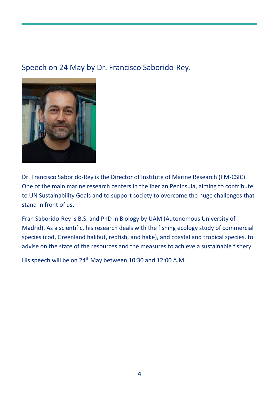# Speech on 24 May by Dr. Francisco Saborido-Rey.



Dr. Francisco Saborido-Rey is the Director of Institute of Marine Research (IIM-CSIC). One of the main marine research centers in the Iberian Peninsula, aiming to contribute to UN Sustainability Goals and to support society to overcome the huge challenges that stand in front of us.

Fran Saborido-Rey is B.S. and PhD in Biology by UAM (Autonomous University of Madrid). As a scientific, his research deals with the fishing ecology study of commercial species (cod, Greenland halibut, redfish, and hake), and coastal and tropical species, to advise on the state of the resources and the measures to achieve a sustainable fishery.

His speech will be on 24<sup>th</sup> May between 10:30 and 12:00 A.M.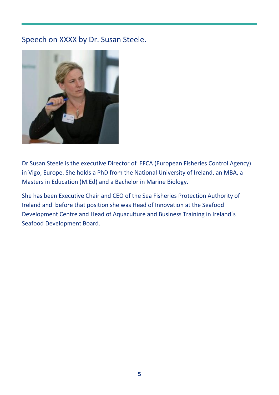### Speech on XXXX by Dr. Susan Steele.



Dr Susan Steele is the executive Director of EFCA (European Fisheries Control Agency) in Vigo, Europe. She holds a PhD from the National University of Ireland, an MBA, a Masters in Education (M.Ed) and a Bachelor in Marine Biology.

She has been Executive Chair and CEO of the Sea Fisheries Protection Authority of Ireland and before that position she was Head of Innovation at the Seafood Development Centre and Head of Aquaculture and Business Training in Ireland´s Seafood Development Board.